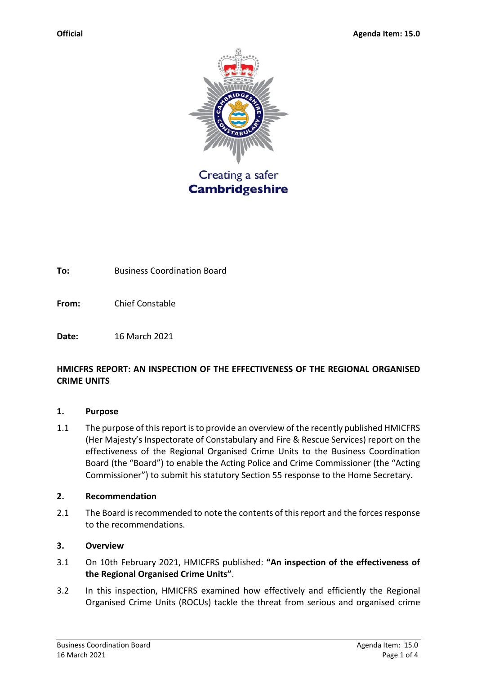

**To:** Business Coordination Board

**From:** Chief Constable

**Date:** 16 March 2021

### **HMICFRS REPORT: AN INSPECTION OF THE EFFECTIVENESS OF THE REGIONAL ORGANISED CRIME UNITS**

#### **1. Purpose**

1.1 The purpose of this report is to provide an overview of the recently published HMICFRS (Her Majesty's Inspectorate of Constabulary and Fire & Rescue Services) report on the effectiveness of the Regional Organised Crime Units to the Business Coordination Board (the "Board") to enable the Acting Police and Crime Commissioner (the "Acting Commissioner") to submit his statutory Section 55 response to the Home Secretary.

#### **2. Recommendation**

2.1 The Board is recommended to note the contents of this report and the forces response to the recommendations.

### **3. Overview**

- 3.1 On 10th February 2021, HMICFRS published: **"An inspection of the effectiveness of the Regional Organised Crime Units"**.
- 3.2 In this inspection, HMICFRS examined how effectively and efficiently the Regional Organised Crime Units (ROCUs) tackle the threat from serious and organised crime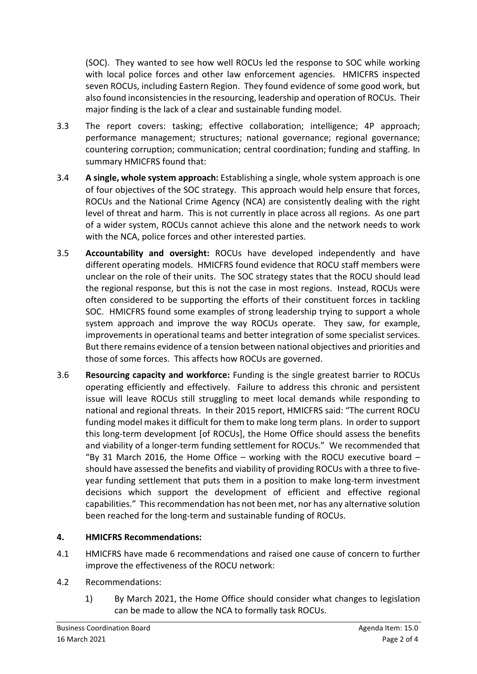(SOC). They wanted to see how well ROCUs led the response to SOC while working with local police forces and other law enforcement agencies. HMICFRS inspected seven ROCUs, including Eastern Region. They found evidence of some good work, but also found inconsistencies in the resourcing, leadership and operation of ROCUs. Their major finding is the lack of a clear and sustainable funding model.

- 3.3 The report covers: tasking; effective collaboration; intelligence; 4P approach; performance management; structures; national governance; regional governance; countering corruption; communication; central coordination; funding and staffing. In summary HMICFRS found that:
- 3.4 **A single, whole system approach:** Establishing a single, whole system approach is one of four objectives of the SOC strategy. This approach would help ensure that forces, ROCUs and the National Crime Agency (NCA) are consistently dealing with the right level of threat and harm. This is not currently in place across all regions. As one part of a wider system, ROCUs cannot achieve this alone and the network needs to work with the NCA, police forces and other interested parties.
- 3.5 **Accountability and oversight:** ROCUs have developed independently and have different operating models. HMICFRS found evidence that ROCU staff members were unclear on the role of their units. The SOC strategy states that the ROCU should lead the regional response, but this is not the case in most regions. Instead, ROCUs were often considered to be supporting the efforts of their constituent forces in tackling SOC. HMICFRS found some examples of strong leadership trying to support a whole system approach and improve the way ROCUs operate. They saw, for example, improvements in operational teams and better integration of some specialist services. But there remains evidence of a tension between national objectives and priorities and those of some forces. This affects how ROCUs are governed.
- 3.6 **Resourcing capacity and workforce:** Funding is the single greatest barrier to ROCUs operating efficiently and effectively. Failure to address this chronic and persistent issue will leave ROCUs still struggling to meet local demands while responding to national and regional threats. In their 2015 report, HMICFRS said: "The current ROCU funding model makes it difficult for them to make long term plans. In order to support this long-term development [of ROCUs], the Home Office should assess the benefits and viability of a longer-term funding settlement for ROCUs." We recommended that "By 31 March 2016, the Home Office – working with the ROCU executive board – should have assessed the benefits and viability of providing ROCUs with a three to fiveyear funding settlement that puts them in a position to make long-term investment decisions which support the development of efficient and effective regional capabilities." This recommendation has not been met, nor has any alternative solution been reached for the long-term and sustainable funding of ROCUs.

# **4. HMICFRS Recommendations:**

- 4.1 HMICFRS have made 6 recommendations and raised one cause of concern to further improve the effectiveness of the ROCU network:
- 4.2 Recommendations:
	- 1) By March 2021, the Home Office should consider what changes to legislation can be made to allow the NCA to formally task ROCUs.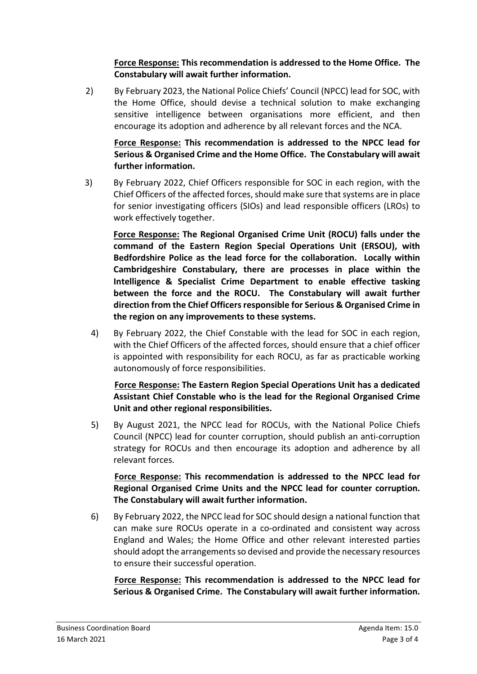**Force Response: This recommendation is addressed to the Home Office. The Constabulary will await further information.**

2) By February 2023, the National Police Chiefs' Council (NPCC) lead for SOC, with the Home Office, should devise a technical solution to make exchanging sensitive intelligence between organisations more efficient, and then encourage its adoption and adherence by all relevant forces and the NCA.

**Force Response: This recommendation is addressed to the NPCC lead for Serious & Organised Crime and the Home Office. The Constabulary will await further information.**

3) By February 2022, Chief Officers responsible for SOC in each region, with the Chief Officers of the affected forces, should make sure that systems are in place for senior investigating officers (SIOs) and lead responsible officers (LROs) to work effectively together.

**Force Response: The Regional Organised Crime Unit (ROCU) falls under the command of the Eastern Region Special Operations Unit (ERSOU), with Bedfordshire Police as the lead force for the collaboration. Locally within Cambridgeshire Constabulary, there are processes in place within the Intelligence & Specialist Crime Department to enable effective tasking between the force and the ROCU. The Constabulary will await further direction from the Chief Officers responsible for Serious & Organised Crime in the region on any improvements to these systems.**

4) By February 2022, the Chief Constable with the lead for SOC in each region, with the Chief Officers of the affected forces, should ensure that a chief officer is appointed with responsibility for each ROCU, as far as practicable working autonomously of force responsibilities.

**Force Response: The Eastern Region Special Operations Unit has a dedicated Assistant Chief Constable who is the lead for the Regional Organised Crime Unit and other regional responsibilities.**

5) By August 2021, the NPCC lead for ROCUs, with the National Police Chiefs Council (NPCC) lead for counter corruption, should publish an anti-corruption strategy for ROCUs and then encourage its adoption and adherence by all relevant forces.

# **Force Response: This recommendation is addressed to the NPCC lead for Regional Organised Crime Units and the NPCC lead for counter corruption. The Constabulary will await further information.**

6) By February 2022, the NPCC lead for SOC should design a national function that can make sure ROCUs operate in a co-ordinated and consistent way across England and Wales; the Home Office and other relevant interested parties should adopt the arrangements so devised and provide the necessary resources to ensure their successful operation.

**Force Response: This recommendation is addressed to the NPCC lead for Serious & Organised Crime. The Constabulary will await further information.**